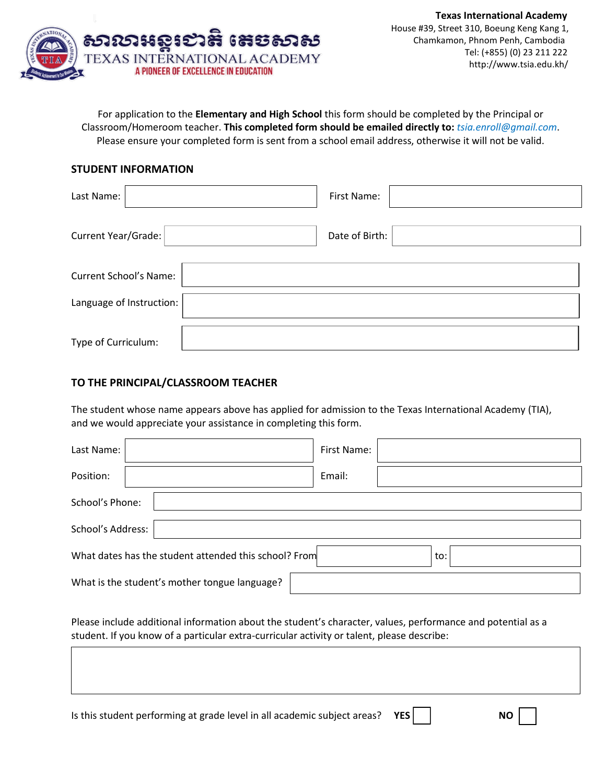

For application to the Elementary and High School this form should be completed by the Principal or Classroom/Homeroom teacher. **This completed form should be emailed directly to:** *tsia.enroll@gmail.com*. r Please ensure your completed form is sent from a school email address, otherwise it will not be valid.

## **STUDENT INFORMATION**

| Last Name:                    | First Name:    |
|-------------------------------|----------------|
| Current Year/Grade:           | Date of Birth: |
| <b>Current School's Name:</b> |                |
| Language of Instruction:      |                |
| Type of Curriculum:           |                |

## **TO THE PRINCIPAL/CLASSROOM TEACHER**

The student whose name appears above has applied for admission to the Texas International Academy (TIA), and we would appreciate your assistance in completing this form.

| Last Name:                                                   |  | First Name: |  |  |
|--------------------------------------------------------------|--|-------------|--|--|
| Position:                                                    |  | Email:      |  |  |
| School's Phone:                                              |  |             |  |  |
| School's Address:                                            |  |             |  |  |
| What dates has the student attended this school? From<br>to: |  |             |  |  |
| What is the student's mother tongue language?                |  |             |  |  |

Please include additional information about the student's character, values, performance and potential as a student. If you know of a particular extra-curricular activity or talent, please describe:

Is this student performing at grade level in all academic subject areas? **YES NO**